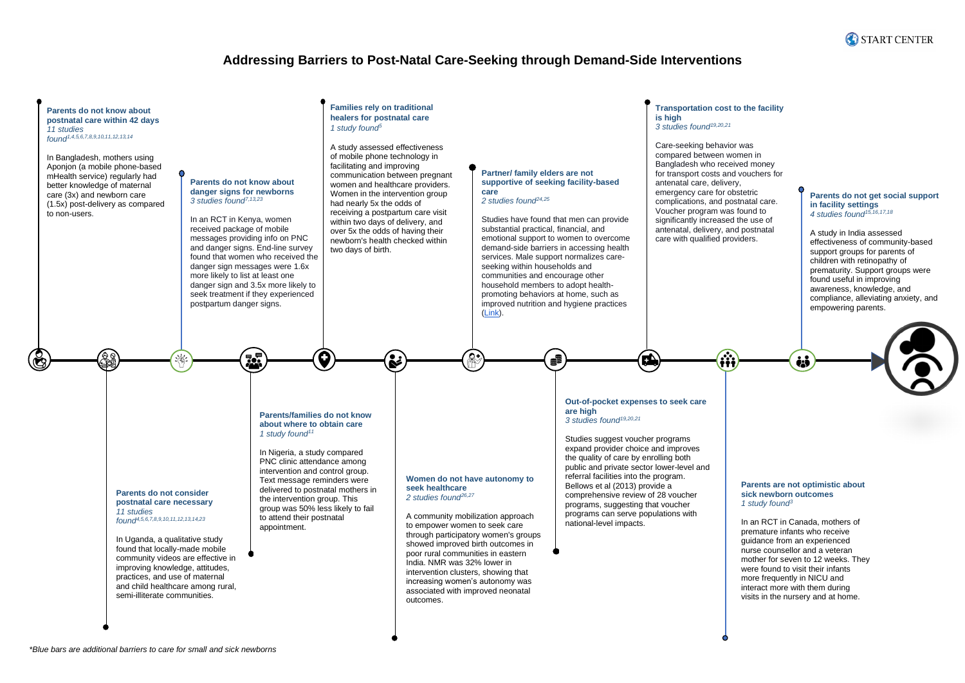# **Addressing Barriers to Post-Natal Care-Seeking through Demand-Side Interventions**